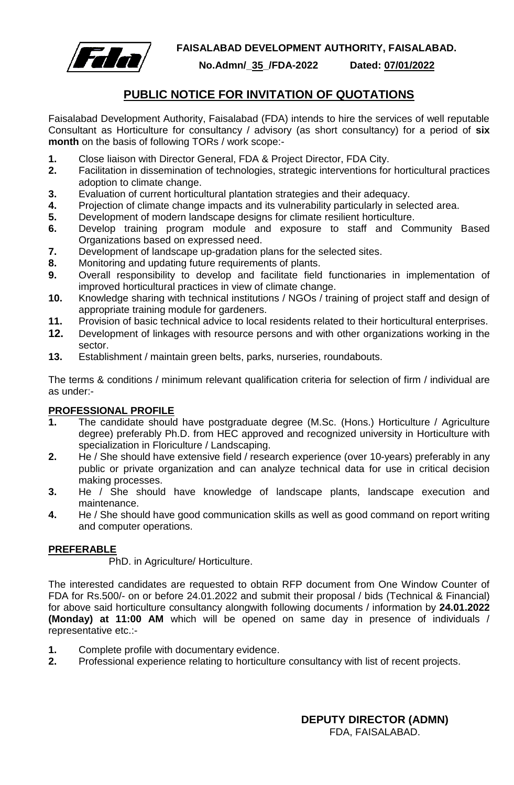

**FAISALABAD DEVELOPMENT AUTHORITY, FAISALABAD.**

**No.Admn/\_35\_/FDA-2022 Dated: 07/01/2022**

## **PUBLIC NOTICE FOR INVITATION OF QUOTATIONS**

Faisalabad Development Authority, Faisalabad (FDA) intends to hire the services of well reputable Consultant as Horticulture for consultancy / advisory (as short consultancy) for a period of **six month** on the basis of following TORs / work scope:-

- **1.** Close liaison with Director General, FDA & Project Director, FDA City.
- **2.** Facilitation in dissemination of technologies, strategic interventions for horticultural practices adoption to climate change.
- **3.** Evaluation of current horticultural plantation strategies and their adequacy.
- **4.** Projection of climate change impacts and its vulnerability particularly in selected area.
- **5.** Development of modern landscape designs for climate resilient horticulture.
- **6.** Develop training program module and exposure to staff and Community Based Organizations based on expressed need.
- **7.** Development of landscape up-gradation plans for the selected sites.
- **8.** Monitoring and updating future requirements of plants.
- **9.** Overall responsibility to develop and facilitate field functionaries in implementation of improved horticultural practices in view of climate change.
- **10.** Knowledge sharing with technical institutions / NGOs / training of project staff and design of appropriate training module for gardeners.
- **11.** Provision of basic technical advice to local residents related to their horticultural enterprises.
- **12.** Development of linkages with resource persons and with other organizations working in the sector.
- **13.** Establishment / maintain green belts, parks, nurseries, roundabouts.

The terms & conditions / minimum relevant qualification criteria for selection of firm / individual are as under:-

## **PROFESSIONAL PROFILE**

- **1.** The candidate should have postgraduate degree (M.Sc. (Hons.) Horticulture / Agriculture degree) preferably Ph.D. from HEC approved and recognized university in Horticulture with specialization in Floriculture / Landscaping.
- **2.** He / She should have extensive field / research experience (over 10-years) preferably in any public or private organization and can analyze technical data for use in critical decision making processes.
- **3.** He / She should have knowledge of landscape plants, landscape execution and maintenance.
- **4.** He / She should have good communication skills as well as good command on report writing and computer operations.

## **PREFERABLE**

PhD. in Agriculture/ Horticulture.

The interested candidates are requested to obtain RFP document from One Window Counter of FDA for Rs.500/- on or before 24.01.2022 and submit their proposal / bids (Technical & Financial) for above said horticulture consultancy alongwith following documents / information by **24.01.2022 (Monday) at 11:00 AM** which will be opened on same day in presence of individuals / representative etc.:-

- **1.** Complete profile with documentary evidence.
- **2.** Professional experience relating to horticulture consultancy with list of recent projects.